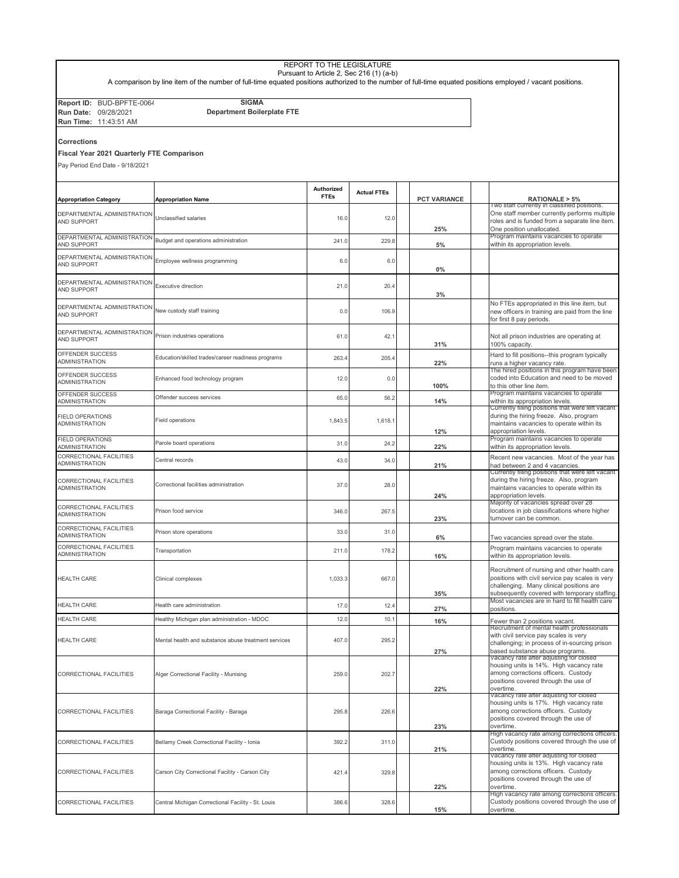|                                            |                                                                                                                                                             | REPORT TO THE LEGISLATURE | Pursuant to Article 2, Sec 216 (1) (a-b) |                     |                                                                                                 |
|--------------------------------------------|-------------------------------------------------------------------------------------------------------------------------------------------------------------|---------------------------|------------------------------------------|---------------------|-------------------------------------------------------------------------------------------------|
|                                            | A comparison by line item of the number of full-time equated positions authorized to the number of full-time equated positions employed / vacant positions. |                           |                                          |                     |                                                                                                 |
| Report ID: BUD-BPFTE-0064                  | <b>SIGMA</b>                                                                                                                                                |                           |                                          |                     |                                                                                                 |
| Run Date: 09/28/2021                       | <b>Department Boilerplate FTE</b>                                                                                                                           |                           |                                          |                     |                                                                                                 |
| Run Time: 11:43:51 AM                      |                                                                                                                                                             |                           |                                          |                     |                                                                                                 |
| Corrections                                |                                                                                                                                                             |                           |                                          |                     |                                                                                                 |
| Fiscal Year 2021 Quarterly FTE Comparison  |                                                                                                                                                             |                           |                                          |                     |                                                                                                 |
| Pay Period End Date - 9/18/2021            |                                                                                                                                                             |                           |                                          |                     |                                                                                                 |
|                                            |                                                                                                                                                             |                           |                                          |                     |                                                                                                 |
| <b>Appropriation Category</b>              | <b>Appropriation Name</b>                                                                                                                                   | Authorized<br><b>FTEs</b> | <b>Actual FTEs</b>                       | <b>PCT VARIANCE</b> | RATIONALE > 5%                                                                                  |
| DEPARTMENTAL ADMINISTRATION                |                                                                                                                                                             |                           |                                          |                     | I wo staff currently in classified positions.<br>One staff member currently performs multiple   |
| AND SUPPORT                                | Unclassified salaries                                                                                                                                       | 16.0                      | 12.0                                     | 25%                 | roles and is funded from a separate line item.<br>One position unallocated.                     |
| DEPARTMENTAL ADMINISTRATION                | Budget and operations administration                                                                                                                        | 241.0                     | 229.8                                    |                     | Program maintains vacancies to operate                                                          |
| AND SUPPORT                                |                                                                                                                                                             |                           |                                          | 5%                  | within its appropriation levels.                                                                |
| DEPARTMENTAL ADMINISTRATION<br>AND SUPPORT | Employee wellness programming                                                                                                                               | 6.0                       | 6.0                                      | 0%                  |                                                                                                 |
| DEPARTMENTAL ADMINISTRATION                |                                                                                                                                                             |                           |                                          |                     |                                                                                                 |
| AND SUPPORT                                | Executive direction                                                                                                                                         | 21.0                      | 20.4                                     | 3%                  |                                                                                                 |
| DEPARTMENTAL ADMINISTRATION                |                                                                                                                                                             |                           |                                          |                     | No FTEs appropriated in this line item, but                                                     |
| AND SUPPORT                                | New custody staff training                                                                                                                                  | 0.0                       | 106.9                                    |                     | new officers in training are paid from the line<br>for first 8 pay periods.                     |
| DEPARTMENTAL ADMINISTRATION                |                                                                                                                                                             |                           |                                          |                     |                                                                                                 |
| AND SUPPORT                                | Prison industries operations                                                                                                                                | 61.0                      | 42.1                                     | 31%                 | Not all prison industries are operating at<br>100% capacity.                                    |
| OFFENDER SUCCESS<br><b>ADMINISTRATION</b>  | Education/skilled trades/career readiness programs                                                                                                          | 263.4                     | 205.4                                    | 22%                 | Hard to fill positions--this program typically<br>runs a higher vacancy rate.                   |
| OFFENDER SUCCESS                           |                                                                                                                                                             |                           |                                          |                     | The hired positions in this program have been                                                   |
| <b>ADMINISTRATION</b>                      | Enhanced food technology program                                                                                                                            | 12.0                      | 0.0                                      | 100%                | coded into Education and need to be moved<br>to this other line item.                           |
| OFFENDER SUCCESS<br>ADMINISTRATION         | Offender success services                                                                                                                                   | 65.0                      | 56.2                                     | 14%                 | Program maintains vacancies to operate<br>within its appropriation levels.                      |
| <b>FIELD OPERATIONS</b>                    |                                                                                                                                                             |                           |                                          |                     | Currently filling positions that were left vacant<br>during the hiring freeze. Also, program    |
| ADMINISTRATION                             | Field operations                                                                                                                                            | 1,843.5                   | 1,618.1                                  |                     | maintains vacancies to operate within its                                                       |
| <b>FIELD OPERATIONS</b>                    |                                                                                                                                                             |                           |                                          | 12%                 | appropriation levels<br>Program maintains vacancies to operate                                  |
| ADMINISTRATION                             | Parole board operations                                                                                                                                     | 31.0                      | 24.2                                     | 22%                 | within its appropriation levels.                                                                |
| CORRECTIONAL FACILITIES<br>ADMINISTRATION  | Central records                                                                                                                                             | 43.0                      | 34.0                                     | 21%                 | Recent new vacancies. Most of the year has<br>had between 2 and 4 vacancies.                    |
| CORRECTIONAL FACILITIES                    |                                                                                                                                                             |                           |                                          |                     | Currently filling positions that were left vacant<br>during the hiring freeze. Also, program    |
| <b>ADMINISTRATION</b>                      | Correctional facilities administration                                                                                                                      | 37.0                      | 28.0                                     |                     | maintains vacancies to operate within its<br>appropriation levels.                              |
| CORRECTIONAL FACILITIES                    |                                                                                                                                                             |                           |                                          | 24%                 | Majority of vacancies spread over 28                                                            |
| <b>ADMINISTRATION</b>                      | Prison food service                                                                                                                                         | 346.0                     | 267.5                                    | 23%                 | locations in job classifications where higher<br>turnover can be common.                        |
| CORRECTIONAL FACILITIES                    | Prison store operations                                                                                                                                     | 33.0                      | 31.0                                     |                     |                                                                                                 |
| ADMINISTRATION<br>CORRECTIONAL FACILITIES  |                                                                                                                                                             |                           |                                          | 6%                  | Two vacancies spread over the state.<br>Program maintains vacancies to operate                  |
| <b>IDMINISTRATION</b>                      | Transportation                                                                                                                                              | 211.0                     | 178.2                                    | 16%                 | within its appropriation levels.                                                                |
|                                            |                                                                                                                                                             |                           |                                          |                     | Recruitment of nursing and other health care                                                    |
| <b>HEALTH CARE</b>                         | Clinical complexes                                                                                                                                          | 1,033.3                   | 667.0                                    |                     | positions with civil service pay scales is very<br>challenging. Many clinical positions are     |
|                                            |                                                                                                                                                             |                           |                                          | 35%                 | subsequently covered with temporary staffing.<br>Most vacancies are in hard to fill health care |
| HEALTH CARE                                | Health care administration                                                                                                                                  | 17.0                      | 12.4                                     | 27%                 | positions.                                                                                      |
| <b>HEALTH CARE</b>                         | Healthy Michigan plan administration - MDOC                                                                                                                 | 12.0                      | 10.1                                     | 16%                 | Fewer than 2 positions vacant.<br>Recruitment of mental health professionals                    |
| <b>HEALTH CARE</b>                         | Mental health and substance abuse treatment services                                                                                                        | 407.0                     | 295.2                                    |                     | with civil service pay scales is very                                                           |
|                                            |                                                                                                                                                             |                           |                                          | 27%                 | challenging; in process of in-sourcing prison<br>based substance abuse programs.                |
| CORRECTIONAL FACILITIES                    | Alger Correctional Facility - Munising                                                                                                                      |                           |                                          |                     | Vacancy rate after adjusting for closed<br>housing units is 14%. High vacancy rate              |
|                                            |                                                                                                                                                             | 259.0                     | 202.7                                    |                     | among corrections officers. Custody                                                             |
|                                            |                                                                                                                                                             |                           |                                          | 22%                 | positions covered through the use of<br>overtime.                                               |
|                                            |                                                                                                                                                             |                           |                                          |                     | vacancy rate after adjusting for closed<br>housing units is 17%. High vacancy rate              |
| CORRECTIONAL FACILITIES                    | Baraga Correctional Facility - Baraga                                                                                                                       | 295.8                     | 226.6                                    |                     | among corrections officers. Custody                                                             |
|                                            |                                                                                                                                                             |                           |                                          | 23%                 | positions covered through the use of<br>overtime.                                               |

392.2 311.0

CORRECTIONAL FACILITIES Bellamy Creek Correctional Facility - Ionia

CORRECTIONAL FACILITIES Carson City Correctional Facility - Carson City

CORRECTIONAL FACILITIES Central Michigan Correctional Facility - St. Louis

421.4 329.8

386.6 328.6

**23%** overtime. High vacancy rate among corrections officers. Custody positions covered through the use of **21%** overtime. Vacancy rate after adjusting for closed housing units is 13%. High vacancy rate among corrections officers. Custody positions covered through the use of

**22%** overtime. High vacancy rate among corrections officers. Custody positions covered through the use of **15%** overtime.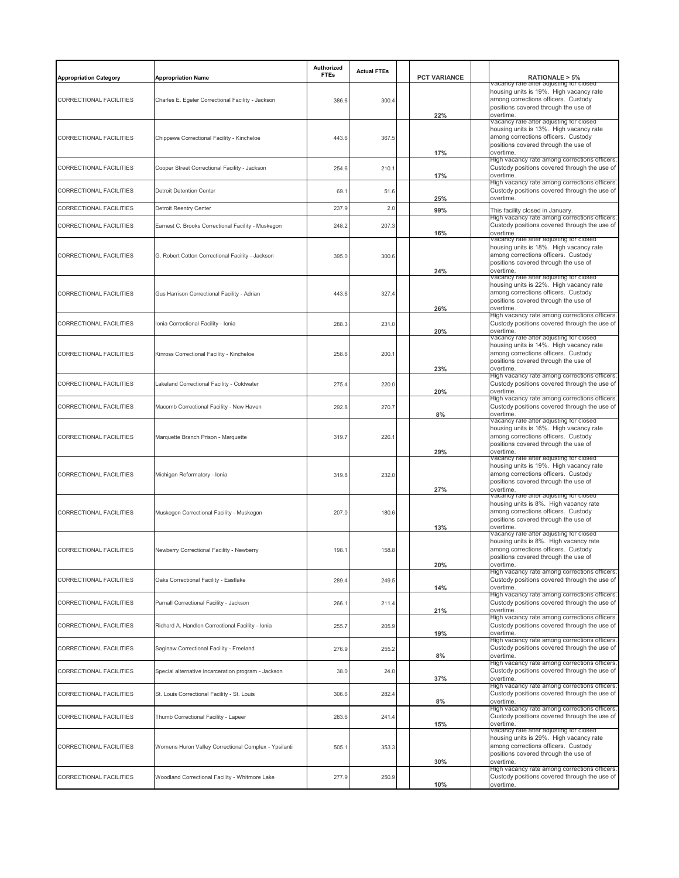| <b>Appropriation Category</b>  | <b>Appropriation Name</b>                            | Authorized<br><b>FTEs</b> | <b>Actual FTEs</b> | <b>PCT VARIANCE</b> | RATIONALE > 5%<br>Vacancy rate after adjusting for closed                                                                                                                      |
|--------------------------------|------------------------------------------------------|---------------------------|--------------------|---------------------|--------------------------------------------------------------------------------------------------------------------------------------------------------------------------------|
| <b>CORRECTIONAL FACILITIES</b> | Charles E. Egeler Correctional Facility - Jackson    | 386.6                     | 300.4              | 22%                 | housing units is 19%. High vacancy rate<br>among corrections officers. Custody<br>positions covered through the use of<br>overtime.                                            |
| <b>CORRECTIONAL FACILITIES</b> | Chippewa Correctional Facility - Kincheloe           | 443.6                     | 367.5              | 17%                 | vacancy rate after adjusting for closed<br>housing units is 13%. High vacancy rate<br>among corrections officers. Custody<br>positions covered through the use of<br>overtime. |
| CORRECTIONAL FACILITIES        | Cooper Street Correctional Facility - Jackson        | 254.6                     | 210.1              | 17%                 | High vacancy rate among corrections officers.<br>Custody positions covered through the use of<br>overtime.                                                                     |
| CORRECTIONAL FACILITIES        | <b>Detroit Detention Center</b>                      | 69.1                      | 51.6               | 25%                 | High vacancy rate among corrections officers.<br>Custody positions covered through the use of<br>overtime.                                                                     |
| CORRECTIONAL FACILITIES        | Detroit Reentry Center                               | 237.9                     | 2.0                | 99%                 | This facility closed in January.                                                                                                                                               |
| CORRECTIONAL FACILITIES        | Earnest C. Brooks Correctional Facility - Muskegon   | 248.2                     | 207.3              | 16%                 | High vacancy rate among corrections officers.<br>Custody positions covered through the use of<br>overtime.                                                                     |
| CORRECTIONAL FACILITIES        | G. Robert Cotton Correctional Facility - Jackson     | 395.0                     | 300.6              | 24%                 | vacancy rate after adjusting for closed<br>housing units is 18%. High vacancy rate<br>among corrections officers. Custody<br>positions covered through the use of<br>overtime. |
| CORRECTIONAL FACILITIES        | Gus Harrison Correctional Facility - Adrian          | 443.6                     | 327.4              | 26%                 | vacancy rate after adjusting for closed<br>housing units is 22%. High vacancy rate<br>among corrections officers. Custody<br>positions covered through the use of<br>overtime. |
| CORRECTIONAL FACILITIES        | Ionia Correctional Facility - Ionia                  | 288.3                     | 231.0              | 20%                 | High vacancy rate among corrections officers.<br>Custody positions covered through the use of<br>overtime.                                                                     |
| CORRECTIONAL FACILITIES        | Kinross Correctional Facility - Kincheloe            | 258.6                     | 200.1              | 23%                 | vacancy rate after adjusting for closed<br>housing units is 14%. High vacancy rate<br>among corrections officers. Custody<br>positions covered through the use of<br>overtime  |
| CORRECTIONAL FACILITIES        | Lakeland Correctional Facility - Coldwater           | 275.4                     | 220.0              | 20%                 | High vacancy rate among corrections officers.<br>Custody positions covered through the use of<br>overtime.                                                                     |
| CORRECTIONAL FACILITIES        | Macomb Correctional Facility - New Haven             | 292.8                     | 270.7              | 8%                  | High vacancy rate among corrections officers.<br>Custody positions covered through the use of<br>overtime.                                                                     |
| CORRECTIONAL FACILITIES        | Marquette Branch Prison - Marquette                  | 319.7                     | 226.1              | 29%                 | vacancy rate after adjusting for closed<br>housing units is 16%. High vacancy rate<br>among corrections officers. Custody<br>positions covered through the use of<br>overtime. |
| CORRECTIONAL FACILITIES        | Michigan Reformatory - Ionia                         | 319.8                     | 232.0              | 27%                 | vacancy rate aπer adjusting for closed<br>housing units is 19%. High vacancy rate<br>among corrections officers. Custody<br>positions covered through the use of<br>overtime.  |
| CORRECTIONAL FACILITIES        | Muskegon Correctional Facility - Muskegon            | 207.0                     | 180.6              | 13%                 | Vacancy rate after adjusting for closed<br>housing units is 8%. High vacancy rate<br>among corrections officers. Custody<br>positions covered through the use of<br>overtime.  |
| CORRECTIONAL FACILITIES        | Newberry Correctional Facility - Newberry            | 198.1                     | 158.8              | 20%                 | vacancy rate after adjusting for closed<br>housing units is 8%. High vacancy rate<br>among corrections officers. Custody<br>positions covered through the use of<br>overtime.  |
| CORRECTIONAL FACILITIES        | Oaks Correctional Facility - Eastlake                | 289.4                     | 249.5              | 14%                 | High vacancy rate among corrections officers.<br>Custody positions covered through the use of<br>overtime.                                                                     |
| CORRECTIONAL FACILITIES        | Parnall Correctional Facility - Jackson              | 266.1                     | 211.4              | 21%                 | High vacancy rate among corrections officers.<br>Custody positions covered through the use of<br>overtime.                                                                     |
| CORRECTIONAL FACILITIES        | Richard A. Handlon Correctional Facility - Ionia     | 255.7                     | 205.9              | 19%                 | High vacancy rate among corrections officers.<br>Custody positions covered through the use of<br>overtime.                                                                     |
| CORRECTIONAL FACILITIES        | Saginaw Correctional Facility - Freeland             | 276.9                     | 255.2              | 8%                  | High vacancy rate among corrections officers.<br>Custody positions covered through the use of<br>overtime.                                                                     |
| CORRECTIONAL FACILITIES        | Special alternative incarceration program - Jackson  | 38.0                      | 24.0               | 37%                 | High vacancy rate among corrections officers.<br>Custody positions covered through the use of<br>overtime.<br>High vacancy rate among corrections officers.                    |
| CORRECTIONAL FACILITIES        | St. Louis Correctional Facility - St. Louis          | 306.6                     | 282.4              | 8%                  | Custody positions covered through the use of<br>overtime.                                                                                                                      |
| CORRECTIONAL FACILITIES        | Thumb Correctional Facility - Lapeer                 | 283.6                     | 241.4              | 15%                 | High vacancy rate among corrections officers.<br>Custody positions covered through the use of<br>overtime.<br>vacancy rate aπer aαjusting for closed                           |
| CORRECTIONAL FACILITIES        | Womens Huron Valley Correctional Complex - Ypsilanti | 505.1                     | 353.3              | 30%                 | housing units is 29%. High vacancy rate<br>among corrections officers. Custody<br>positions covered through the use of<br>overtime.                                            |
| CORRECTIONAL FACILITIES        | Woodland Correctional Facility - Whitmore Lake       | 277.9                     | 250.9              | 10%                 | High vacancy rate among corrections officers.<br>Custody positions covered through the use of<br>overtime.                                                                     |